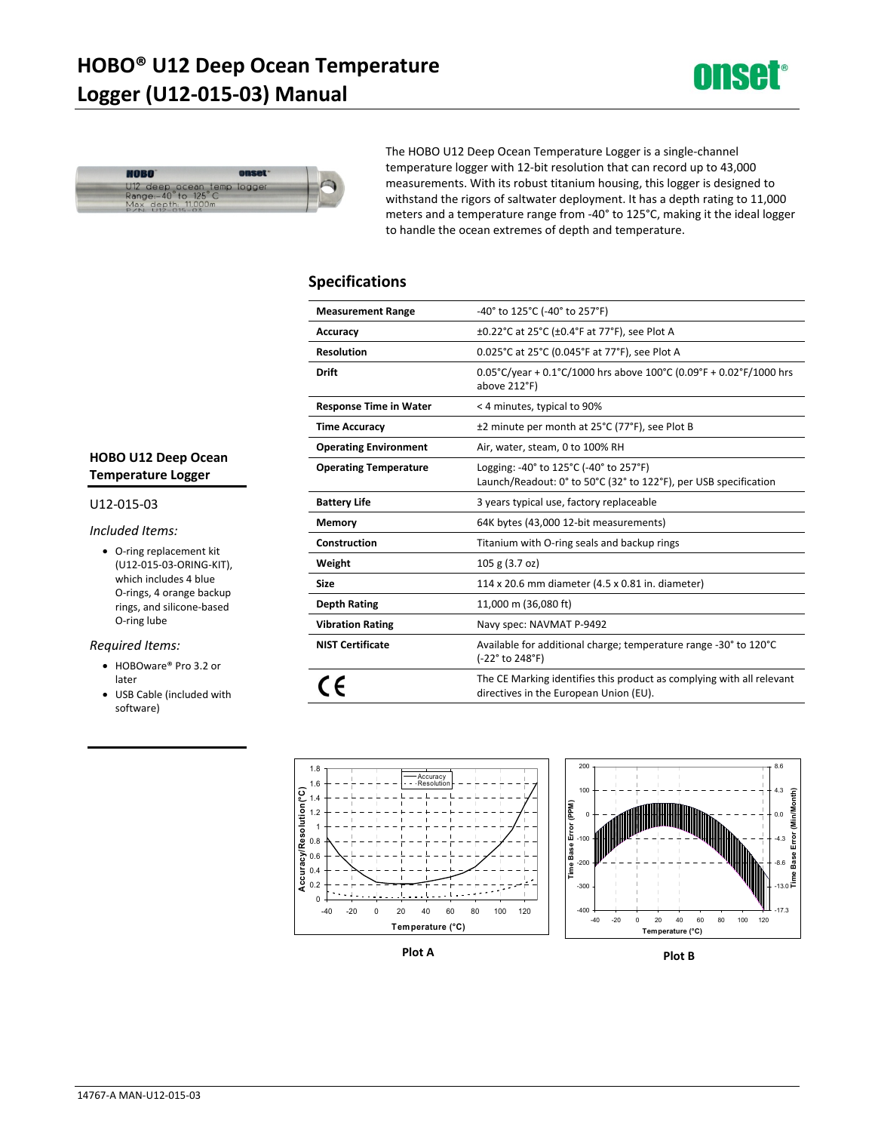# **HOBO® U12 Deep Ocean Temperature Logger (U12-015-03) Manual**





The HOBO U12 Deep Ocean Temperature Logger is a single-channel temperature logger with 12-bit resolution that can record up to 43,000 measurements. With its robust titanium housing, this logger is designed to withstand the rigors of saltwater deployment. It has a depth rating to 11,000 meters and a temperature range from -40° to 125°C, making it the ideal logger to handle the ocean extremes of depth and temperature.

### **Specifications**

| <b>Measurement Range</b>      | -40° to 125°C (-40° to 257°F)                                                                                   |
|-------------------------------|-----------------------------------------------------------------------------------------------------------------|
| Accuracy                      | ±0.22°C at 25°C (±0.4°F at 77°F), see Plot A                                                                    |
| <b>Resolution</b>             | 0.025°C at 25°C (0.045°F at 77°F), see Plot A                                                                   |
| <b>Drift</b>                  | $0.05^{\circ}$ C/year + 0.1°C/1000 hrs above 100°C (0.09°F + 0.02°F/1000 hrs<br>above 212°F)                    |
| <b>Response Time in Water</b> | < 4 minutes, typical to 90%                                                                                     |
| <b>Time Accuracy</b>          | ±2 minute per month at 25°C (77°F), see Plot B                                                                  |
| <b>Operating Environment</b>  | Air, water, steam, 0 to 100% RH                                                                                 |
| <b>Operating Temperature</b>  | Logging: -40° to 125°C (-40° to 257°F)<br>Launch/Readout: 0° to 50°C (32° to 122°F), per USB specification      |
| <b>Battery Life</b>           | 3 years typical use, factory replaceable                                                                        |
| Memory                        | 64K bytes (43,000 12-bit measurements)                                                                          |
| Construction                  | Titanium with O-ring seals and backup rings                                                                     |
| Weight                        | 105 g (3.7 oz)                                                                                                  |
| <b>Size</b>                   | 114 x 20.6 mm diameter (4.5 x 0.81 in. diameter)                                                                |
| Depth Rating                  | 11,000 m (36,080 ft)                                                                                            |
| <b>Vibration Rating</b>       | Navy spec: NAVMAT P-9492                                                                                        |
| <b>NIST Certificate</b>       | Available for additional charge; temperature range -30° to 120°C<br>(-22° to 248°F)                             |
|                               | The CE Marking identifies this product as complying with all relevant<br>directives in the European Union (EU). |



**Plot A Plot B** 

# **HOBO U12 Deep Ocean Temperature Logger**

#### U12-015-03

### *Included Items:*

• O-ring replacement kit (U12-015-03-ORING-KIT), which includes 4 blue O-rings, 4 orange backup rings, and silicone-based O-ring lube

### *Required Items:*

- HOBOware® Pro 3.2 or later
- USB Cable (included with software)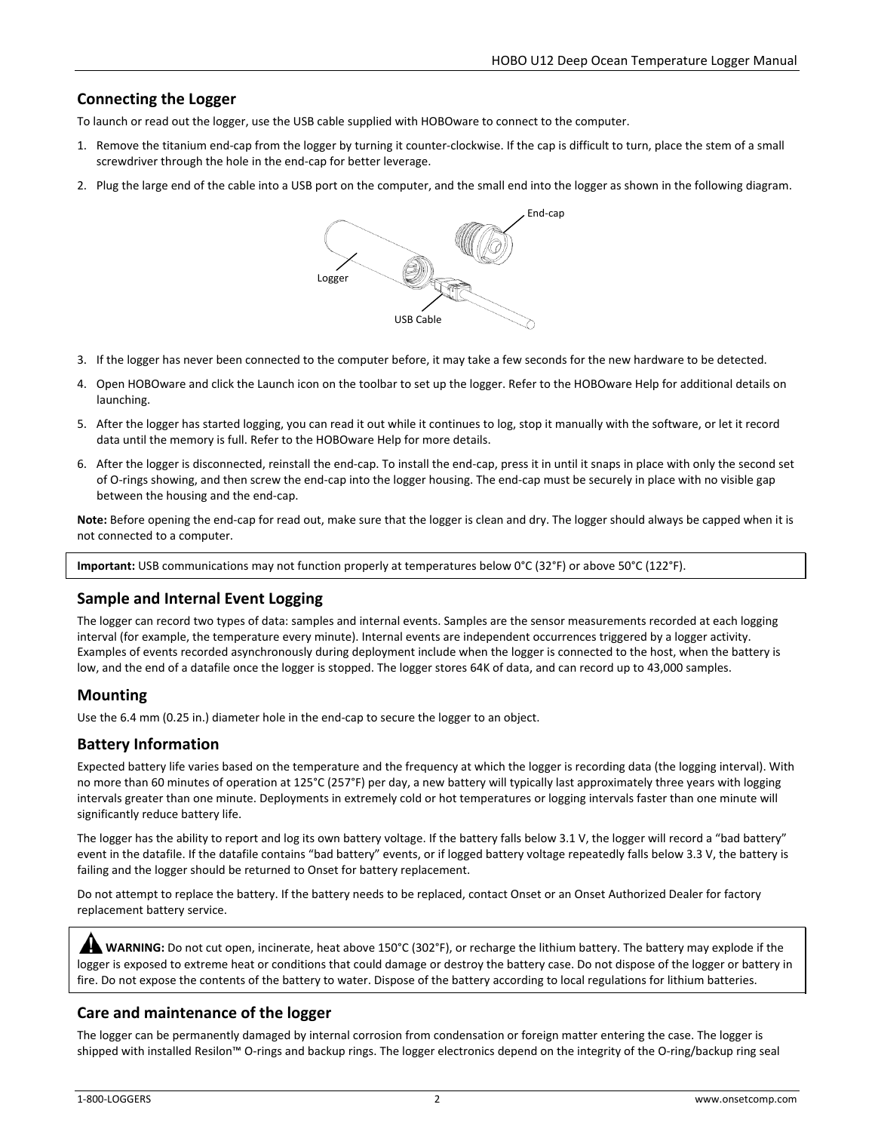# **Connecting the Logger**

To launch or read out the logger, use the USB cable supplied with HOBOware to connect to the computer.

- 1. Remove the titanium end-cap from the logger by turning it counter-clockwise. If the cap is difficult to turn, place the stem of a small screwdriver through the hole in the end-cap for better leverage.
- 2. Plug the large end of the cable into a USB port on the computer, and the small end into the logger as shown in the following diagram.



- 3. If the logger has never been connected to the computer before, it may take a few seconds for the new hardware to be detected.
- 4. Open HOBOware and click the Launch icon on the toolbar to set up the logger. Refer to the HOBOware Help for additional details on launching.
- 5. After the logger has started logging, you can read it out while it continues to log, stop it manually with the software, or let it record data until the memory is full. Refer to the HOBOware Help for more details.
- 6. After the logger is disconnected, reinstall the end-cap. To install the end-cap, press it in until it snaps in place with only the second set of O-rings showing, and then screw the end-cap into the logger housing. The end-cap must be securely in place with no visible gap between the housing and the end-cap.

**Note:** Before opening the end-cap for read out, make sure that the logger is clean and dry. The logger should always be capped when it is not connected to a computer.

**Important:** USB communications may not function properly at temperatures below 0°C (32°F) or above 50°C (122°F).

# **Sample and Internal Event Logging**

The logger can record two types of data: samples and internal events. Samples are the sensor measurements recorded at each logging interval (for example, the temperature every minute). Internal events are independent occurrences triggered by a logger activity. Examples of events recorded asynchronously during deployment include when the logger is connected to the host, when the battery is low, and the end of a datafile once the logger is stopped. The logger stores 64K of data, and can record up to 43,000 samples.

# **Mounting**

Use the 6.4 mm (0.25 in.) diameter hole in the end-cap to secure the logger to an object.

# **Battery Information**

Expected battery life varies based on the temperature and the frequency at which the logger is recording data (the logging interval). With no more than 60 minutes of operation at 125°C (257°F) per day, a new battery will typically last approximately three years with logging intervals greater than one minute. Deployments in extremely cold or hot temperatures or logging intervals faster than one minute will significantly reduce battery life.

The logger has the ability to report and log its own battery voltage. If the battery falls below 3.1 V, the logger will record a "bad battery" event in the datafile. If the datafile contains "bad battery" events, or if logged battery voltage repeatedly falls below 3.3 V, the battery is failing and the logger should be returned to Onset for battery replacement.

Do not attempt to replace the battery. If the battery needs to be replaced, contact Onset or an Onset Authorized Dealer for factory replacement battery service.

**WARNING:** Do not cut open, incinerate, heat above 150°C (302°F), or recharge the lithium battery. The battery may explode if the logger is exposed to extreme heat or conditions that could damage or destroy the battery case. Do not dispose of the logger or battery in fire. Do not expose the contents of the battery to water. Dispose of the battery according to local regulations for lithium batteries.

# **Care and maintenance of the logger**

The logger can be permanently damaged by internal corrosion from condensation or foreign matter entering the case. The logger is shipped with installed Resilon™ O-rings and backup rings. The logger electronics depend on the integrity of the O-ring/backup ring seal